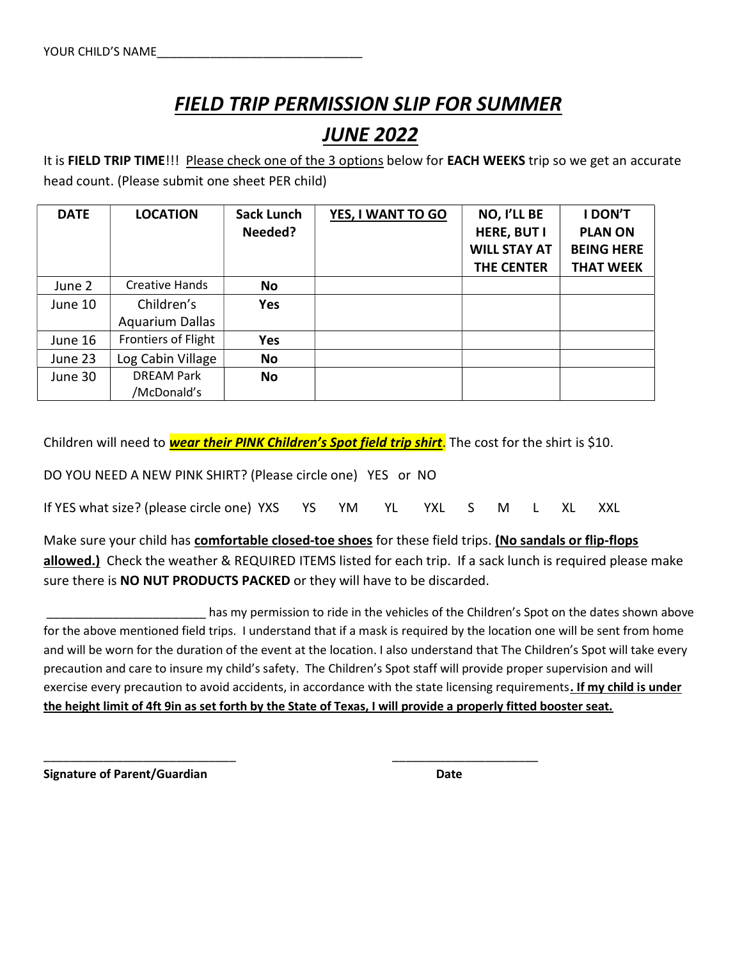## FIELD TRIP PERMISSION SLIP FOR SUMMER JUNE 2022

It is FIELD TRIP TIME!!! Please check one of the 3 options below for EACH WEEKS trip so we get an accurate head count. (Please submit one sheet PER child)

| <b>DATE</b> | <b>LOCATION</b>        | <b>Sack Lunch</b> | YES, I WANT TO GO | NO, I'LL BE         | I DON'T           |
|-------------|------------------------|-------------------|-------------------|---------------------|-------------------|
|             |                        | Needed?           |                   | HERE, BUT I         | <b>PLAN ON</b>    |
|             |                        |                   |                   | <b>WILL STAY AT</b> | <b>BEING HERE</b> |
|             |                        |                   |                   | <b>THE CENTER</b>   | <b>THAT WEEK</b>  |
| June 2      | Creative Hands         | No                |                   |                     |                   |
| June 10     | Children's             | Yes               |                   |                     |                   |
|             | <b>Aquarium Dallas</b> |                   |                   |                     |                   |
| June 16     | Frontiers of Flight    | <b>Yes</b>        |                   |                     |                   |
| June 23     | Log Cabin Village      | <b>No</b>         |                   |                     |                   |
| June 30     | <b>DREAM Park</b>      | No                |                   |                     |                   |
|             | /McDonald's            |                   |                   |                     |                   |

Children will need to **wear their PINK Children's Spot field trip shirt**. The cost for the shirt is \$10.

DO YOU NEED A NEW PINK SHIRT? (Please circle one) YES or NO

If YES what size? (please circle one) YXS YS YM YL YXL S M L XL XXL

\_\_\_\_\_\_\_\_\_\_\_\_\_\_\_\_\_\_\_\_\_\_\_\_\_\_\_\_\_ \_\_\_\_\_\_\_\_\_\_\_\_\_\_\_\_\_\_\_\_\_\_

Make sure your child has comfortable closed-toe shoes for these field trips. (No sandals or flip-flops allowed.) Check the weather & REQUIRED ITEMS listed for each trip. If a sack lunch is required please make sure there is **NO NUT PRODUCTS PACKED** or they will have to be discarded.

 \_\_\_\_\_\_\_\_\_\_\_\_\_\_\_\_\_\_\_\_\_\_\_\_ has my permission to ride in the vehicles of the Children's Spot on the dates shown above for the above mentioned field trips. I understand that if a mask is required by the location one will be sent from home and will be worn for the duration of the event at the location. I also understand that The Children's Spot will take every precaution and care to insure my child's safety. The Children's Spot staff will provide proper supervision and will exercise every precaution to avoid accidents, in accordance with the state licensing requirements. If my child is under the height limit of 4ft 9in as set forth by the State of Texas, I will provide a properly fitted booster seat.

Signature of Parent/Guardian Date Date Date